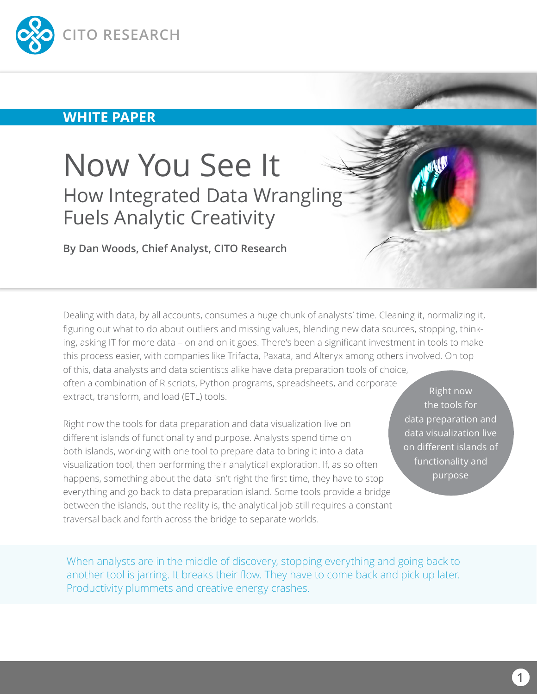

### **WHITE PAPER**

# Now You See It How Integrated Data Wrangling Fuels Analytic Creativity

**By Dan Woods, Chief Analyst, CITO Research**

Dealing with data, by all accounts, consumes a huge chunk of analysts' time. Cleaning it, normalizing it, figuring out what to do about outliers and missing values, blending new data sources, stopping, thinking, asking IT for more data – on and on it goes. There's been a significant investment in tools to make this process easier, with companies like Trifacta, Paxata, and Alteryx among others involved. On top of this, data analysts and data scientists alike have data preparation tools of choice,

often a combination of R scripts, Python programs, spreadsheets, and corporate extract, transform, and load (ETL) tools.

Right now the tools for data preparation and data visualization live on different islands of functionality and purpose. Analysts spend time on both islands, working with one tool to prepare data to bring it into a data visualization tool, then performing their analytical exploration. If, as so often happens, something about the data isn't right the first time, they have to stop everything and go back to data preparation island. Some tools provide a bridge between the islands, but the reality is, the analytical job still requires a constant traversal back and forth across the bridge to separate worlds.

Right now the tools for data preparation and data visualization live on different islands of functionality and purpose

When analysts are in the middle of discovery, stopping everything and going back to another tool is jarring. It breaks their flow. They have to come back and pick up later. Productivity plummets and creative energy crashes.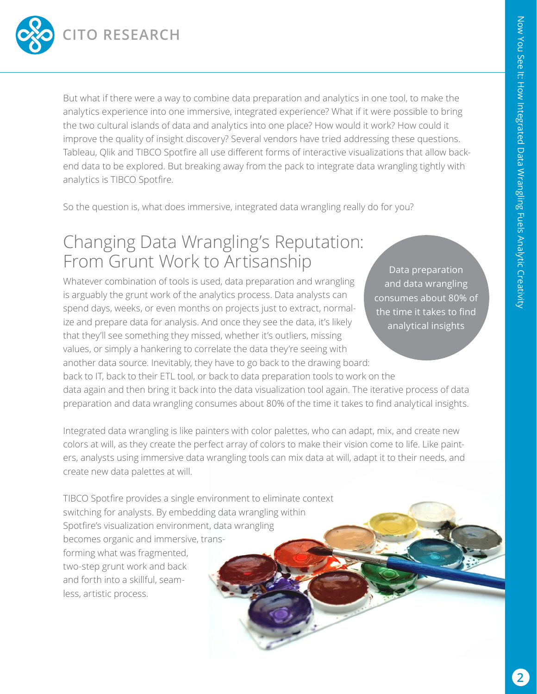

But what if there were a way to combine data preparation and analytics in one tool, to make the analytics experience into one immersive, integrated experience? What if it were possible to bring the two cultural islands of data and analytics into one place? How would it work? How could it improve the quality of insight discovery? Several vendors have tried addressing these questions. Tableau, Qlik and TIBCO Spotfire all use different forms of interactive visualizations that allow backend data to be explored. But breaking away from the pack to integrate data wrangling tightly with analytics is TIBCO Spotfire.

So the question is, what does immersive, integrated data wrangling really do for you?

## Changing Data Wrangling's Reputation: From Grunt Work to Artisanship

Whatever combination of tools is used, data preparation and wrangling is arguably the grunt work of the analytics process. Data analysts can spend days, weeks, or even months on projects just to extract, normalize and prepare data for analysis. And once they see the data, it's likely that they'll see something they missed, whether it's outliers, missing values, or simply a hankering to correlate the data they're seeing with another data source. Inevitably, they have to go back to the drawing board:

Data preparation and data wrangling consumes about 80% of the time it takes to find analytical insights

back to IT, back to their ETL tool, or back to data preparation tools to work on the data again and then bring it back into the data visualization tool again. The iterative process of data preparation and data wrangling consumes about 80% of the time it takes to find analytical insights.

Integrated data wrangling is like painters with color palettes, who can adapt, mix, and create new colors at will, as they create the perfect array of colors to make their vision come to life. Like painters, analysts using immersive data wrangling tools can mix data at will, adapt it to their needs, and create new data palettes at will.

TIBCO Spotfire provides a single environment to eliminate context switching for analysts. By embedding data wrangling within Spotfire's visualization environment, data wrangling becomes organic and immersive, transforming what was fragmented, two-step grunt work and back and forth into a skillful, seamless, artistic process.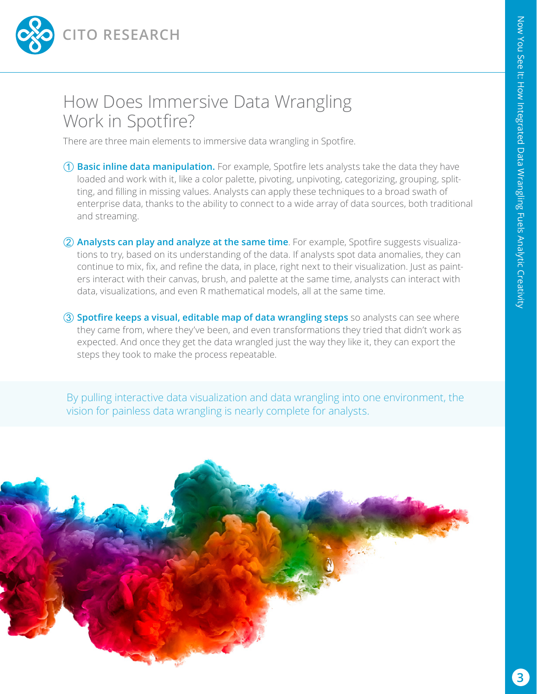

### How Does Immersive Data Wrangling Work in Spotfire?

There are three main elements to immersive data wrangling in Spotfire.

- **Basic inline data manipulation.** For example, Spotfire lets analysts take the data they have loaded and work with it, like a color palette, pivoting, unpivoting, categorizing, grouping, splitting, and filling in missing values. Analysts can apply these techniques to a broad swath of enterprise data, thanks to the ability to connect to a wide array of data sources, both traditional and streaming.
- **Analysts can play and analyze at the same time**. For example, Spotfire suggests visualizations to try, based on its understanding of the data. If analysts spot data anomalies, they can continue to mix, fix, and refine the data, in place, right next to their visualization. Just as painters interact with their canvas, brush, and palette at the same time, analysts can interact with data, visualizations, and even R mathematical models, all at the same time.
- **Spotfire keeps a visual, editable map of data wrangling steps** so analysts can see where they came from, where they've been, and even transformations they tried that didn't work as expected. And once they get the data wrangled just the way they like it, they can export the steps they took to make the process repeatable.

By pulling interactive data visualization and data wrangling into one environment, the vision for painless data wrangling is nearly complete for analysts.